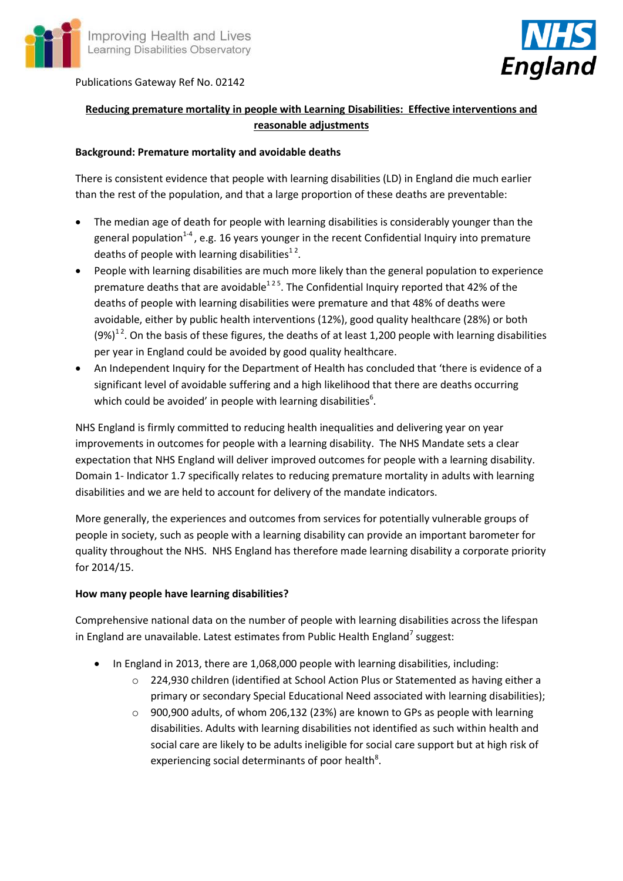

Publications Gateway Ref No. 02142



# **Reducing premature mortality in people with Learning Disabilities: Effective interventions and reasonable adjustments**

#### **Background: Premature mortality and avoidable deaths**

There is consistent evidence that people with learning disabilities (LD) in England die much earlier than the rest of the population, and that a large proportion of these deaths are preventable:

- The median age of death for people with learning disabilities is considerably younger than the general population<sup>1-4</sup>, e.g. 16 years younger in the recent Confidential Inquiry into premature deaths of people with learning disabilities $^{12}$ .
- People with learning disabilities are much more likely than the general population to experience premature deaths that are avoidable<sup>125</sup>. The Confidential Inquiry reported that 42% of the deaths of people with learning disabilities were premature and that 48% of deaths were avoidable, either by public health interventions (12%), good quality healthcare (28%) or both  $(9%)^{12}$ . On the basis of these figures, the deaths of at least 1,200 people with learning disabilities per year in England could be avoided by good quality healthcare.
- An Independent Inquiry for the Department of Health has concluded that 'there is evidence of a significant level of avoidable suffering and a high likelihood that there are deaths occurring which could be avoided' in people with learning disabilities $^6$ .

NHS England is firmly committed to reducing health inequalities and delivering year on year improvements in outcomes for people with a learning disability. The NHS Mandate sets a clear expectation that NHS England will deliver improved outcomes for people with a learning disability. Domain 1- Indicator 1.7 specifically relates to reducing premature mortality in adults with learning disabilities and we are held to account for delivery of the mandate indicators.

More generally, the experiences and outcomes from services for potentially vulnerable groups of people in society, such as people with a learning disability can provide an important barometer for quality throughout the NHS. NHS England has therefore made learning disability a corporate priority for 2014/15.

### **How many people have learning disabilities?**

Comprehensive national data on the number of people with learning disabilities across the lifespan in England are unavailable. Latest estimates from Public Health England<sup>7</sup> suggest:

- In England in 2013, there are 1,068,000 people with learning disabilities, including:
	- o 224,930 children (identified at School Action Plus or Statemented as having either a primary or secondary Special Educational Need associated with learning disabilities);
	- $\circ$  900,900 adults, of whom 206,132 (23%) are known to GPs as people with learning disabilities. Adults with learning disabilities not identified as such within health and social care are likely to be adults ineligible for social care support but at high risk of experiencing social determinants of poor health<sup>8</sup>.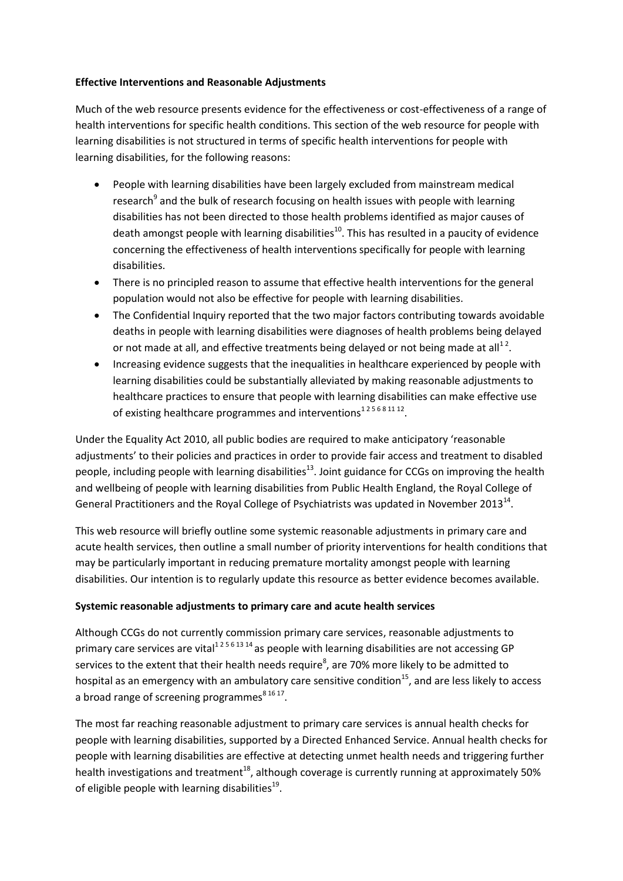#### **Effective Interventions and Reasonable Adjustments**

Much of the web resource presents evidence for the effectiveness or cost-effectiveness of a range of health interventions for specific health conditions. This section of the web resource for people with learning disabilities is not structured in terms of specific health interventions for people with learning disabilities, for the following reasons:

- People with learning disabilities have been largely excluded from mainstream medical research<sup>9</sup> and the bulk of research focusing on health issues with people with learning disabilities has not been directed to those health problems identified as major causes of death amongst people with learning disabilities<sup>10</sup>. This has resulted in a paucity of evidence concerning the effectiveness of health interventions specifically for people with learning disabilities.
- There is no principled reason to assume that effective health interventions for the general population would not also be effective for people with learning disabilities.
- The Confidential Inquiry reported that the two major factors contributing towards avoidable deaths in people with learning disabilities were diagnoses of health problems being delayed or not made at all, and effective treatments being delayed or not being made at all<sup>12</sup>.
- Increasing evidence suggests that the inequalities in healthcare experienced by people with learning disabilities could be substantially alleviated by making reasonable adjustments to healthcare practices to ensure that people with learning disabilities can make effective use of existing healthcare programmes and interventions<sup>125681112</sup>.

Under the Equality Act 2010, all public bodies are required to make anticipatory 'reasonable adjustments' to their policies and practices in order to provide fair access and treatment to disabled people, including people with learning disabilities<sup>13</sup>. Joint guidance for CCGs on improving the health and wellbeing of people with learning disabilities from Public Health England, the Royal College of General Practitioners and the Royal College of Psychiatrists was updated in November 2013<sup>14</sup>.

This web resource will briefly outline some systemic reasonable adjustments in primary care and acute health services, then outline a small number of priority interventions for health conditions that may be particularly important in reducing premature mortality amongst people with learning disabilities. Our intention is to regularly update this resource as better evidence becomes available.

### **Systemic reasonable adjustments to primary care and acute health services**

Although CCGs do not currently commission primary care services, reasonable adjustments to primary care services are vital<sup>12561314</sup> as people with learning disabilities are not accessing GP services to the extent that their health needs require<sup>8</sup>, are 70% more likely to be admitted to hospital as an emergency with an ambulatory care sensitive condition<sup>15</sup>, and are less likely to access a broad range of screening programmes<sup>8 16 17</sup>.

The most far reaching reasonable adjustment to primary care services is annual health checks for people with learning disabilities, supported by a Directed Enhanced Service. Annual health checks for people with learning disabilities are effective at detecting unmet health needs and triggering further health investigations and treatment<sup>18</sup>, although coverage is currently running at approximately 50% of eligible people with learning disabilities $^{19}$ .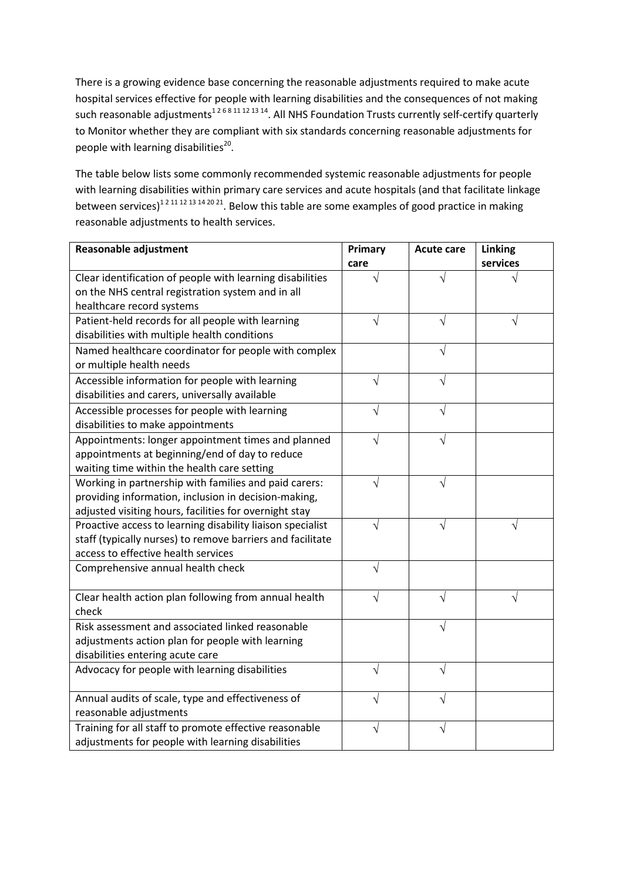There is a growing evidence base concerning the reasonable adjustments required to make acute hospital services effective for people with learning disabilities and the consequences of not making such reasonable adjustments<sup>126811121314</sup>. All NHS Foundation Trusts currently self-certify quarterly to Monitor whether they are compliant with six standards concerning reasonable adjustments for people with learning disabilities<sup>20</sup>.

The table below lists some commonly recommended systemic reasonable adjustments for people with learning disabilities within primary care services and acute hospitals (and that facilitate linkage between services)<sup>12 11 12 13 14 20 21</sup>. Below this table are some examples of good practice in making reasonable adjustments to health services.

| <b>Reasonable adjustment</b>                               | Primary | <b>Acute care</b> | Linking  |
|------------------------------------------------------------|---------|-------------------|----------|
|                                                            | care    |                   | services |
| Clear identification of people with learning disabilities  |         |                   |          |
| on the NHS central registration system and in all          |         |                   |          |
| healthcare record systems                                  |         |                   |          |
| Patient-held records for all people with learning          |         |                   |          |
| disabilities with multiple health conditions               |         |                   |          |
| Named healthcare coordinator for people with complex       |         | V                 |          |
| or multiple health needs                                   |         |                   |          |
| Accessible information for people with learning            | V       | V                 |          |
| disabilities and carers, universally available             |         |                   |          |
| Accessible processes for people with learning              | V       |                   |          |
| disabilities to make appointments                          |         |                   |          |
| Appointments: longer appointment times and planned         |         |                   |          |
| appointments at beginning/end of day to reduce             |         |                   |          |
| waiting time within the health care setting                |         |                   |          |
| Working in partnership with families and paid carers:      |         |                   |          |
| providing information, inclusion in decision-making,       |         |                   |          |
| adjusted visiting hours, facilities for overnight stay     |         |                   |          |
| Proactive access to learning disability liaison specialist | V       | V                 | V        |
| staff (typically nurses) to remove barriers and facilitate |         |                   |          |
| access to effective health services                        |         |                   |          |
| Comprehensive annual health check                          | V       |                   |          |
|                                                            |         |                   |          |
| Clear health action plan following from annual health      | V       | V                 |          |
| check                                                      |         |                   |          |
| Risk assessment and associated linked reasonable           |         |                   |          |
| adjustments action plan for people with learning           |         |                   |          |
| disabilities entering acute care                           |         |                   |          |
| Advocacy for people with learning disabilities             | V       |                   |          |
| Annual audits of scale, type and effectiveness of          | V       |                   |          |
| reasonable adjustments                                     |         |                   |          |
| Training for all staff to promote effective reasonable     |         |                   |          |
| adjustments for people with learning disabilities          |         |                   |          |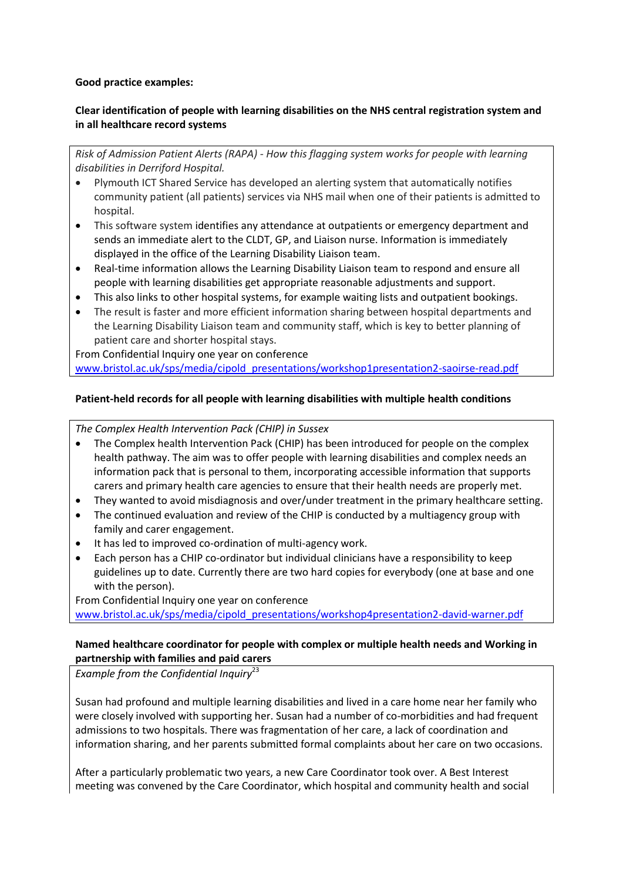#### **Good practice examples:**

## **Clear identification of people with learning disabilities on the NHS central registration system and in all healthcare record systems**

*Risk of Admission Patient Alerts (RAPA) - How this flagging system works for people with learning disabilities in Derriford Hospital.*

- Plymouth ICT Shared Service has developed an alerting system that automatically notifies community patient (all patients) services via NHS mail when one of their patients is admitted to hospital.
- This software system identifies any attendance at outpatients or emergency department and sends an immediate alert to the CLDT, GP, and Liaison nurse. Information is immediately displayed in the office of the Learning Disability Liaison team.
- Real-time information allows the Learning Disability Liaison team to respond and ensure all people with learning disabilities get appropriate reasonable adjustments and support.
- This also links to other hospital systems, for example waiting lists and outpatient bookings.
- The result is faster and more efficient information sharing between hospital departments and the Learning Disability Liaison team and community staff, which is key to better planning of patient care and shorter hospital stays.

From Confidential Inquiry one year on conference [www.bristol.ac.uk/sps/media/cipold\\_presentations/workshop1presentation2-saoirse-read.pdf](http://www.bristol.ac.uk/sps/media/cipold_presentations/workshop1presentation2-saoirse-read.pdf)

# **Patient-held records for all people with learning disabilities with multiple health conditions**

#### *The Complex Health Intervention Pack (CHIP) in Sussex*

- The Complex health Intervention Pack (CHIP) has been introduced for people on the complex health pathway. The aim was to offer people with learning disabilities and complex needs an information pack that is personal to them, incorporating accessible information that supports carers and primary health care agencies to ensure that their health needs are properly met.
- They wanted to avoid misdiagnosis and over/under treatment in the primary healthcare setting.
- The continued evaluation and review of the CHIP is conducted by a multiagency group with family and carer engagement.
- It has led to improved co-ordination of multi-agency work.
- Each person has a CHIP co-ordinator but individual clinicians have a responsibility to keep guidelines up to date. Currently there are two hard copies for everybody (one at base and one with the person).

From Confidential Inquiry one year on conference

[www.bristol.ac.uk/sps/media/cipold\\_presentations/workshop4presentation2-david-warner.pdf](http://www.bristol.ac.uk/sps/media/cipold_presentations/workshop4presentation2-david-warner.pdf)

#### **Named healthcare coordinator for people with complex or multiple health needs and Working in partnership with families and paid carers**

*Example from the Confidential Inquiry*<sup>23</sup>

Susan had profound and multiple learning disabilities and lived in a care home near her family who were closely involved with supporting her. Susan had a number of co-morbidities and had frequent admissions to two hospitals. There was fragmentation of her care, a lack of coordination and information sharing, and her parents submitted formal complaints about her care on two occasions.

After a particularly problematic two years, a new Care Coordinator took over. A Best Interest meeting was convened by the Care Coordinator, which hospital and community health and social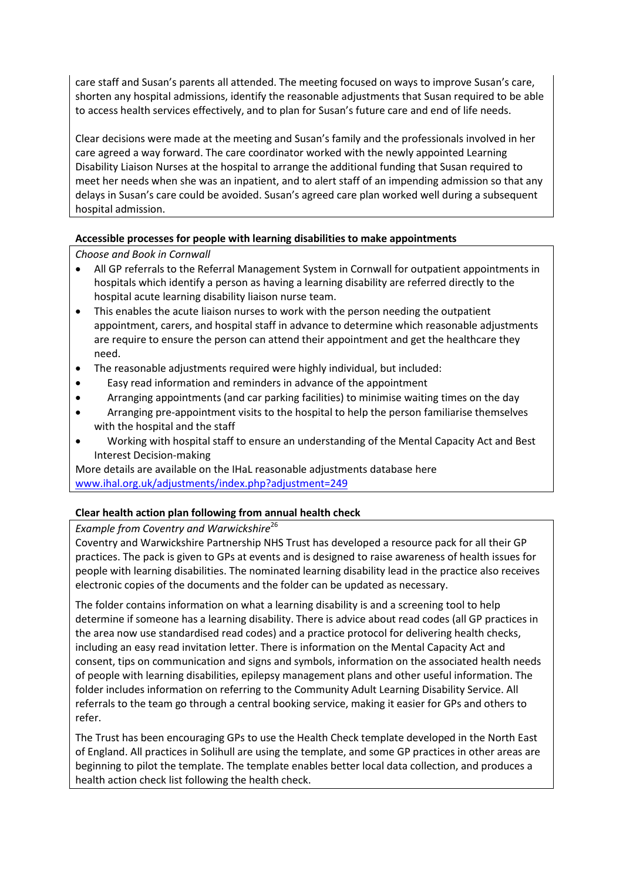care staff and Susan's parents all attended. The meeting focused on ways to improve Susan's care, shorten any hospital admissions, identify the reasonable adjustments that Susan required to be able to access health services effectively, and to plan for Susan's future care and end of life needs.

Clear decisions were made at the meeting and Susan's family and the professionals involved in her care agreed a way forward. The care coordinator worked with the newly appointed Learning Disability Liaison Nurses at the hospital to arrange the additional funding that Susan required to meet her needs when she was an inpatient, and to alert staff of an impending admission so that any delays in Susan's care could be avoided. Susan's agreed care plan worked well during a subsequent hospital admission.

### **Accessible processes for people with learning disabilities to make appointments**

*Choose and Book in Cornwall*

- All GP referrals to the Referral Management System in Cornwall for outpatient appointments in hospitals which identify a person as having a learning disability are referred directly to the hospital acute learning disability liaison nurse team.
- This enables the acute liaison nurses to work with the person needing the outpatient appointment, carers, and hospital staff in advance to determine which reasonable adjustments are require to ensure the person can attend their appointment and get the healthcare they need.
- The reasonable adjustments required were highly individual, but included:
- Easy read information and reminders in advance of the appointment
- Arranging appointments (and car parking facilities) to minimise waiting times on the day
- Arranging pre-appointment visits to the hospital to help the person familiarise themselves with the hospital and the staff
- Working with hospital staff to ensure an understanding of the Mental Capacity Act and Best Interest Decision-making

More details are available on the IHaL reasonable adjustments database here [www.ihal.org.uk/adjustments/index.php?adjustment=249](http://www.ihal.org.uk/adjustments/index.php?adjustment=249)

### **Clear health action plan following from annual health check**

*Example from Coventry and Warwickshire*<sup>26</sup>

Coventry and Warwickshire Partnership NHS Trust has developed a resource pack for all their GP practices. The pack is given to GPs at events and is designed to raise awareness of health issues for people with learning disabilities. The nominated learning disability lead in the practice also receives electronic copies of the documents and the folder can be updated as necessary.

The folder contains information on what a learning disability is and a screening tool to help determine if someone has a learning disability. There is advice about read codes (all GP practices in the area now use standardised read codes) and a practice protocol for delivering health checks, including an easy read invitation letter. There is information on the Mental Capacity Act and consent, tips on communication and signs and symbols, information on the associated health needs of people with learning disabilities, epilepsy management plans and other useful information. The folder includes information on referring to the Community Adult Learning Disability Service. All referrals to the team go through a central booking service, making it easier for GPs and others to refer.

The Trust has been encouraging GPs to use the Health Check template developed in the North East of England. All practices in Solihull are using the template, and some GP practices in other areas are beginning to pilot the template. The template enables better local data collection, and produces a health action check list following the health check.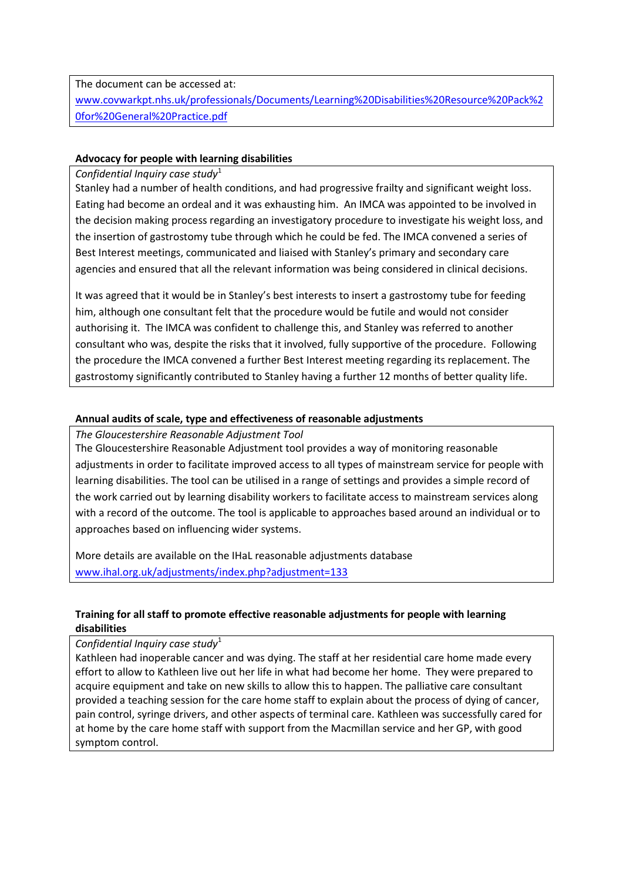The document can be accessed at:

[www.covwarkpt.nhs.uk/professionals/Documents/Learning%20Disabilities%20Resource%20Pack%2](http://www.covwarkpt.nhs.uk/professionals/Documents/Learning%20Disabilities%20Resource%20Pack%20for%20General%20Practice.pdf) [0for%20General%20Practice.pdf](http://www.covwarkpt.nhs.uk/professionals/Documents/Learning%20Disabilities%20Resource%20Pack%20for%20General%20Practice.pdf)

## **Advocacy for people with learning disabilities**

#### *Confidential Inquiry case study*<sup>1</sup>

Stanley had a number of health conditions, and had progressive frailty and significant weight loss. Eating had become an ordeal and it was exhausting him. An IMCA was appointed to be involved in the decision making process regarding an investigatory procedure to investigate his weight loss, and the insertion of gastrostomy tube through which he could be fed. The IMCA convened a series of Best Interest meetings, communicated and liaised with Stanley's primary and secondary care agencies and ensured that all the relevant information was being considered in clinical decisions.

It was agreed that it would be in Stanley's best interests to insert a gastrostomy tube for feeding him, although one consultant felt that the procedure would be futile and would not consider authorising it. The IMCA was confident to challenge this, and Stanley was referred to another consultant who was, despite the risks that it involved, fully supportive of the procedure. Following the procedure the IMCA convened a further Best Interest meeting regarding its replacement. The gastrostomy significantly contributed to Stanley having a further 12 months of better quality life.

### **Annual audits of scale, type and effectiveness of reasonable adjustments**

*The Gloucestershire Reasonable Adjustment Tool*

The Gloucestershire Reasonable Adjustment tool provides a way of monitoring reasonable adjustments in order to facilitate improved access to all types of mainstream service for people with learning disabilities. The tool can be utilised in a range of settings and provides a simple record of the work carried out by learning disability workers to facilitate access to mainstream services along with a record of the outcome. The tool is applicable to approaches based around an individual or to approaches based on influencing wider systems.

More details are available on the IHaL reasonable adjustments database [www.ihal.org.uk/adjustments/index.php?adjustment=133](http://www.ihal.org.uk/adjustments/index.php?adjustment=133)

# **Training for all staff to promote effective reasonable adjustments for people with learning disabilities**

*Confidential Inquiry case study*<sup>1</sup>

Kathleen had inoperable cancer and was dying. The staff at her residential care home made every effort to allow to Kathleen live out her life in what had become her home. They were prepared to acquire equipment and take on new skills to allow this to happen. The palliative care consultant provided a teaching session for the care home staff to explain about the process of dying of cancer, pain control, syringe drivers, and other aspects of terminal care. Kathleen was successfully cared for at home by the care home staff with support from the Macmillan service and her GP, with good symptom control.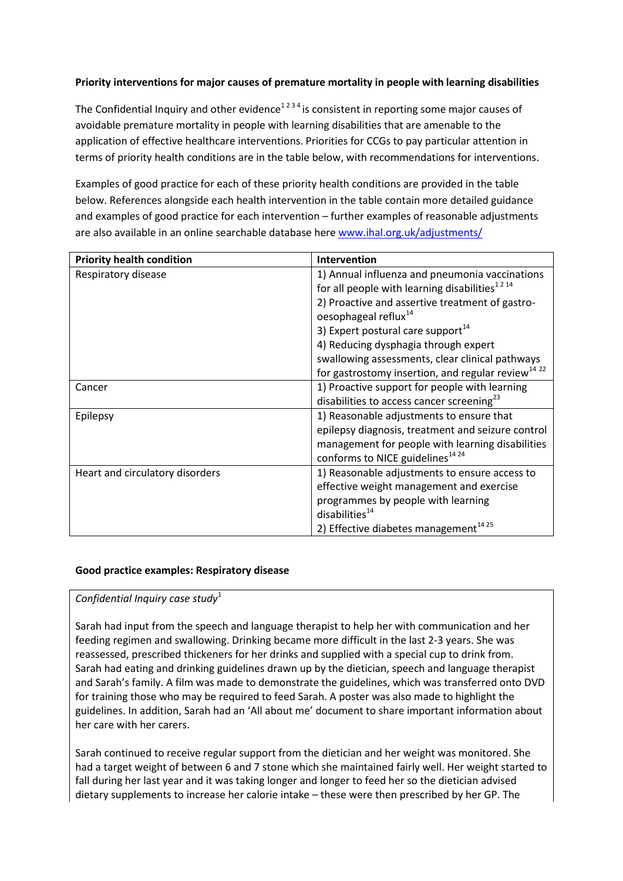## **Priority interventions for major causes of premature mortality in people with learning disabilities**

The Confidential Inquiry and other evidence<sup>1234</sup> is consistent in reporting some major causes of avoidable premature mortality in people with learning disabilities that are amenable to the application of effective healthcare interventions. Priorities for CCGs to pay particular attention in terms of priority health conditions are in the table below, with recommendations for interventions.

Examples of good practice for each of these priority health conditions are provided in the table below. References alongside each health intervention in the table contain more detailed guidance and examples of good practice for each intervention – further examples of reasonable adjustments are also available in an online searchable database here [www.ihal.org.uk/adjustments/](http://www.ihal.org.uk/adjustments/)

| <b>Priority health condition</b> | Intervention                                                                        |
|----------------------------------|-------------------------------------------------------------------------------------|
| Respiratory disease              | 1) Annual influenza and pneumonia vaccinations                                      |
|                                  | for all people with learning disabilities $1214$                                    |
|                                  | 2) Proactive and assertive treatment of gastro-<br>oesophageal reflux <sup>14</sup> |
|                                  | 3) Expert postural care support $^{14}$                                             |
|                                  | 4) Reducing dysphagia through expert                                                |
|                                  | swallowing assessments, clear clinical pathways                                     |
|                                  | for gastrostomy insertion, and regular review <sup>14 22</sup>                      |
| Cancer                           | 1) Proactive support for people with learning                                       |
|                                  | disabilities to access cancer screening <sup>23</sup>                               |
| Epilepsy                         | 1) Reasonable adjustments to ensure that                                            |
|                                  | epilepsy diagnosis, treatment and seizure control                                   |
|                                  | management for people with learning disabilities                                    |
|                                  | conforms to NICE guidelines <sup>14 24</sup>                                        |
| Heart and circulatory disorders  | 1) Reasonable adjustments to ensure access to                                       |
|                                  | effective weight management and exercise                                            |
|                                  | programmes by people with learning                                                  |
|                                  | disabilities <sup>14</sup>                                                          |
|                                  | 2) Effective diabetes management <sup>1425</sup>                                    |

### **Good practice examples: Respiratory disease**

### *Confidential Inquiry case study*<sup>1</sup>

Sarah had input from the speech and language therapist to help her with communication and her feeding regimen and swallowing. Drinking became more difficult in the last 2-3 years. She was reassessed, prescribed thickeners for her drinks and supplied with a special cup to drink from. Sarah had eating and drinking guidelines drawn up by the dietician, speech and language therapist and Sarah's family. A film was made to demonstrate the guidelines, which was transferred onto DVD for training those who may be required to feed Sarah. A poster was also made to highlight the guidelines. In addition, Sarah had an 'All about me' document to share important information about her care with her carers.

Sarah continued to receive regular support from the dietician and her weight was monitored. She had a target weight of between 6 and 7 stone which she maintained fairly well. Her weight started to fall during her last year and it was taking longer and longer to feed her so the dietician advised dietary supplements to increase her calorie intake – these were then prescribed by her GP. The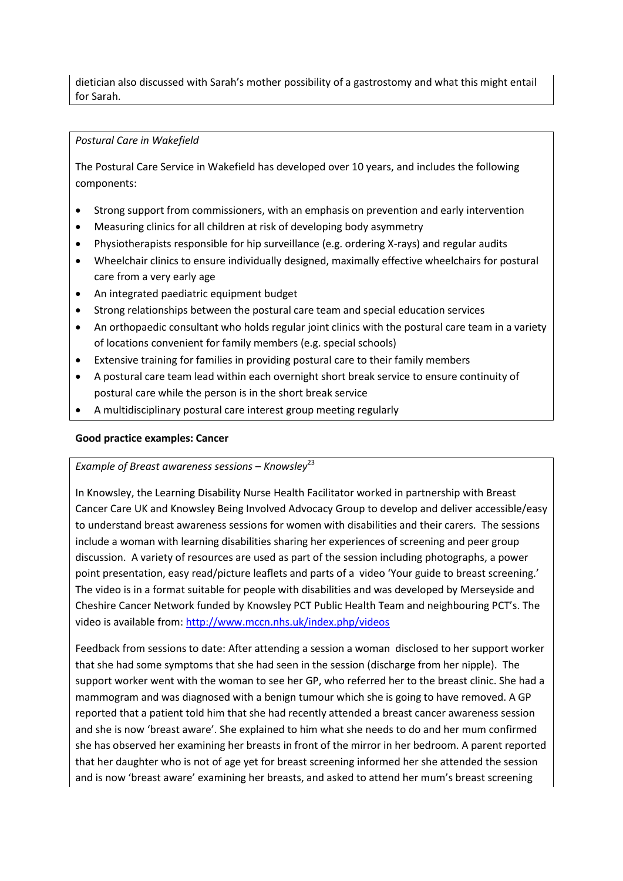dietician also discussed with Sarah's mother possibility of a gastrostomy and what this might entail for Sarah.

#### *Postural Care in Wakefield*

The Postural Care Service in Wakefield has developed over 10 years, and includes the following components:

- Strong support from commissioners, with an emphasis on prevention and early intervention
- Measuring clinics for all children at risk of developing body asymmetry
- Physiotherapists responsible for hip surveillance (e.g. ordering X-rays) and regular audits
- Wheelchair clinics to ensure individually designed, maximally effective wheelchairs for postural care from a very early age
- An integrated paediatric equipment budget
- Strong relationships between the postural care team and special education services
- An orthopaedic consultant who holds regular joint clinics with the postural care team in a variety of locations convenient for family members (e.g. special schools)
- Extensive training for families in providing postural care to their family members
- A postural care team lead within each overnight short break service to ensure continuity of postural care while the person is in the short break service
- A multidisciplinary postural care interest group meeting regularly

#### **Good practice examples: Cancer**

#### *Example of Breast awareness sessions – Knowsley*<sup>23</sup>

In Knowsley, the Learning Disability Nurse Health Facilitator worked in partnership with Breast Cancer Care UK and Knowsley Being Involved Advocacy Group to develop and deliver accessible/easy to understand breast awareness sessions for women with disabilities and their carers. The sessions include a woman with learning disabilities sharing her experiences of screening and peer group discussion. A variety of resources are used as part of the session including photographs, a power point presentation, easy read/picture leaflets and parts of a video 'Your guide to breast screening.' The video is in a format suitable for people with disabilities and was developed by Merseyside and Cheshire Cancer Network funded by Knowsley PCT Public Health Team and neighbouring PCT's. The video is available from[: http://www.mccn.nhs.uk/index.php/videos](http://www.mccn.nhs.uk/index.php/videos) 

Feedback from sessions to date: After attending a session a woman disclosed to her support worker that she had some symptoms that she had seen in the session (discharge from her nipple). The support worker went with the woman to see her GP, who referred her to the breast clinic. She had a mammogram and was diagnosed with a benign tumour which she is going to have removed. A GP reported that a patient told him that she had recently attended a breast cancer awareness session and she is now 'breast aware'. She explained to him what she needs to do and her mum confirmed she has observed her examining her breasts in front of the mirror in her bedroom. A parent reported that her daughter who is not of age yet for breast screening informed her she attended the session and is now 'breast aware' examining her breasts, and asked to attend her mum's breast screening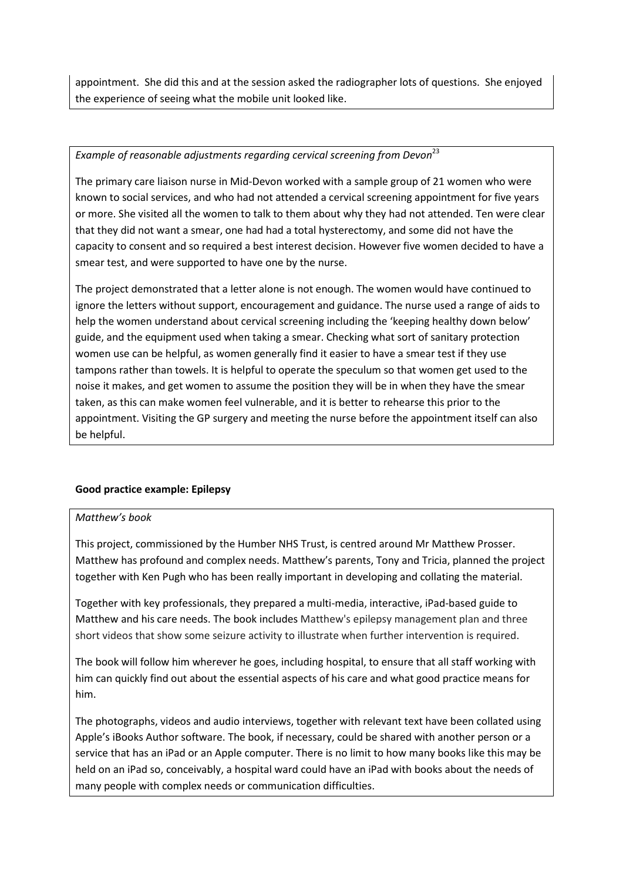appointment. She did this and at the session asked the radiographer lots of questions. She enjoyed the experience of seeing what the mobile unit looked like.

### *Example of reasonable adjustments regarding cervical screening from Devon*<sup>23</sup>

The primary care liaison nurse in Mid-Devon worked with a sample group of 21 women who were known to social services, and who had not attended a cervical screening appointment for five years or more. She visited all the women to talk to them about why they had not attended. Ten were clear that they did not want a smear, one had had a total hysterectomy, and some did not have the capacity to consent and so required a best interest decision. However five women decided to have a smear test, and were supported to have one by the nurse.

The project demonstrated that a letter alone is not enough. The women would have continued to ignore the letters without support, encouragement and guidance. The nurse used a range of aids to help the women understand about cervical screening including the 'keeping healthy down below' guide, and the equipment used when taking a smear. Checking what sort of sanitary protection women use can be helpful, as women generally find it easier to have a smear test if they use tampons rather than towels. It is helpful to operate the speculum so that women get used to the noise it makes, and get women to assume the position they will be in when they have the smear taken, as this can make women feel vulnerable, and it is better to rehearse this prior to the appointment. Visiting the GP surgery and meeting the nurse before the appointment itself can also be helpful.

### **Good practice example: Epilepsy**

#### *Matthew's book*

This project, commissioned by the Humber NHS Trust, is centred around Mr Matthew Prosser. Matthew has profound and complex needs. Matthew's parents, Tony and Tricia, planned the project together with Ken Pugh who has been really important in developing and collating the material.

Together with key professionals, they prepared a multi-media, interactive, iPad-based guide to Matthew and his care needs. The book includes Matthew's epilepsy management plan and three short videos that show some seizure activity to illustrate when further intervention is required.

The book will follow him wherever he goes, including hospital, to ensure that all staff working with him can quickly find out about the essential aspects of his care and what good practice means for him.

The photographs, videos and audio interviews, together with relevant text have been collated using Apple's iBooks Author software. The book, if necessary, could be shared with another person or a service that has an iPad or an Apple computer. There is no limit to how many books like this may be held on an iPad so, conceivably, a hospital ward could have an iPad with books about the needs of many people with complex needs or communication difficulties.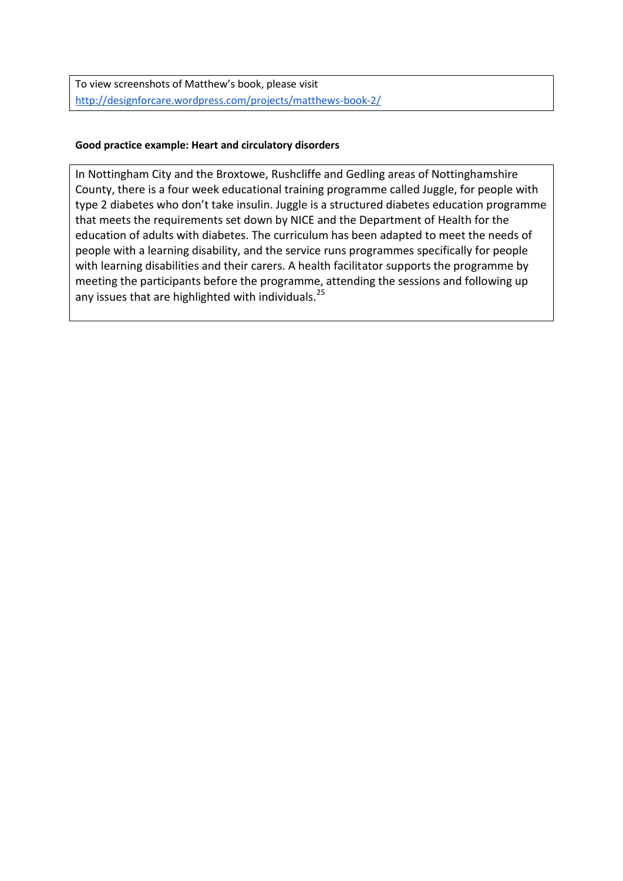To view screenshots of Matthew's book, please visit <http://designforcare.wordpress.com/projects/matthews-book-2/>

### **Good practice example: Heart and circulatory disorders**

In Nottingham City and the Broxtowe, Rushcliffe and Gedling areas of Nottinghamshire County, there is a four week educational training programme called Juggle, for people with type 2 diabetes who don't take insulin. Juggle is a structured diabetes education programme that meets the requirements set down by NICE and the Department of Health for the education of adults with diabetes. The curriculum has been adapted to meet the needs of people with a learning disability, and the service runs programmes specifically for people with learning disabilities and their carers. A health facilitator supports the programme by meeting the participants before the programme, attending the sessions and following up any issues that are highlighted with individuals.<sup>25</sup>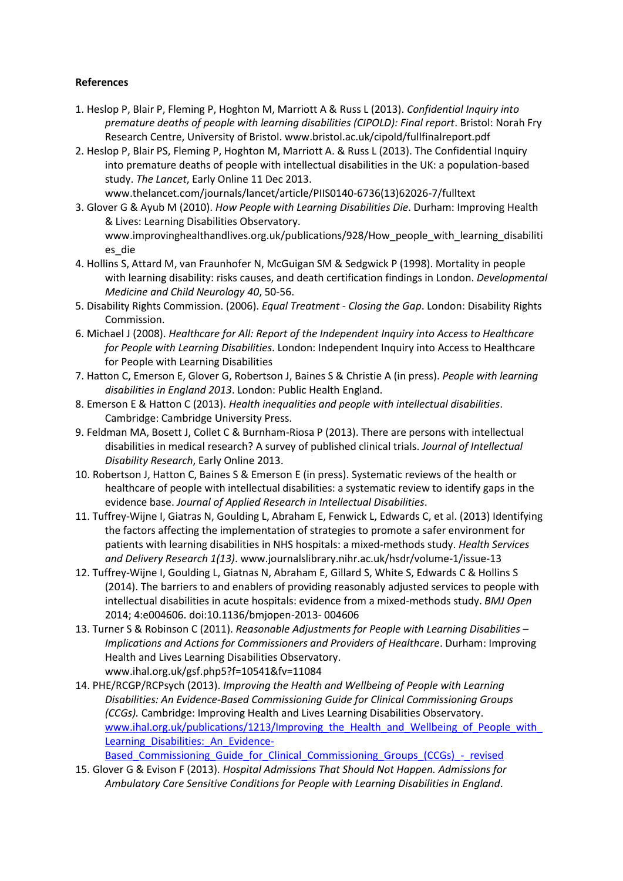### **References**

- 1. Heslop P, Blair P, Fleming P, Hoghton M, Marriott A & Russ L (2013). *Confidential Inquiry into premature deaths of people with learning disabilities (CIPOLD): Final report*. Bristol: Norah Fry Research Centre, University of Bristol. [www.bristol.ac.uk/cipold/fullfinalreport.pdf](http://www.bristol.ac.uk/cipold/fullfinalreport.pdf)
- 2. Heslop P, Blair PS, Fleming P, Hoghton M, Marriott A. & Russ L (2013). The Confidential Inquiry into premature deaths of people with intellectual disabilities in the UK: a population-based study. *The Lancet*, Early Online 11 Dec 2013. [www.thelancet.com/journals/lancet/article/PIIS0140-6736\(13\)62026-7/fulltext](http://www.thelancet.com/journals/lancet/article/PIIS0140-6736(13)62026-7/fulltext)
- 3. Glover G & Ayub M (2010). *How People with Learning Disabilities Die*. Durham: Improving Health & Lives: Learning Disabilities Observatory. [www.improvinghealthandlives.org.uk/publications/928/How\\_people\\_with\\_learning\\_disabiliti](http://www.improvinghealthandlives.org.uk/publications/928/How_people_with_learning_disabilities_die) [es\\_die](http://www.improvinghealthandlives.org.uk/publications/928/How_people_with_learning_disabilities_die)
- 4. Hollins S, Attard M, van Fraunhofer N, McGuigan SM & Sedgwick P (1998). Mortality in people with learning disability: risks causes, and death certification findings in London. *Developmental Medicine and Child Neurology 40*, 50-56.
- 5. Disability Rights Commission. (2006). *Equal Treatment - Closing the Gap*. London: Disability Rights Commission.
- 6. Michael J (2008). *Healthcare for All: Report of the Independent Inquiry into Access to Healthcare for People with Learning Disabilities*. London: Independent Inquiry into Access to Healthcare for People with Learning Disabilities
- 7. Hatton C, Emerson E, Glover G, Robertson J, Baines S & Christie A (in press). *People with learning disabilities in England 2013*. London: Public Health England.
- 8. Emerson E & Hatton C (2013). *Health inequalities and people with intellectual disabilities*. Cambridge: Cambridge University Press.
- 9. Feldman MA, Bosett J, Collet C & Burnham-Riosa P (2013). There are persons with intellectual disabilities in medical research? A survey of published clinical trials. *Journal of Intellectual Disability Research*, Early Online 2013.
- 10. Robertson J, Hatton C, Baines S & Emerson E (in press). Systematic reviews of the health or healthcare of people with intellectual disabilities: a systematic review to identify gaps in the evidence base. *Journal of Applied Research in Intellectual Disabilities*.
- 11. Tuffrey-Wijne I, Giatras N, Goulding L, Abraham E, Fenwick L, Edwards C, et al. (2013) Identifying the factors affecting the implementation of strategies to promote a safer environment for patients with learning disabilities in NHS hospitals: a mixed-methods study. *Health Services and Delivery Research 1(13)*. [www.journalslibrary.nihr.ac.uk/hsdr/volume-1/issue-13](http://www.journalslibrary.nihr.ac.uk/hsdr/volume-1/issue-13)
- 12. Tuffrey-Wijne I, Goulding L, Giatnas N, Abraham E, Gillard S, White S, Edwards C & Hollins S (2014). The barriers to and enablers of providing reasonably adjusted services to people with intellectual disabilities in acute hospitals: evidence from a mixed-methods study. *BMJ Open* 2014; 4:e004606. doi:10.1136/bmjopen-2013- 004606
- 13. Turner S & Robinson C (2011). *Reasonable Adjustments for People with Learning Disabilities – Implications and Actions for Commissioners and Providers of Healthcare*. Durham: Improving Health and Lives Learning Disabilities Observatory. [www.ihal.org.uk/gsf.php5?f=10541&fv=11084](http://www.ihal.org.uk/gsf.php5?f=10541&fv=11084)
- 14. PHE/RCGP/RCPsych (2013). *Improving the Health and Wellbeing of People with Learning Disabilities: An Evidence-Based Commissioning Guide for Clinical Commissioning Groups (CCGs).* Cambridge: Improving Health and Lives Learning Disabilities Observatory. www.ihal.org.uk/publications/1213/Improving\_the\_Health\_and\_Wellbeing\_of\_People\_with Learning Disabilities: An Evidence-

[Based\\_Commissioning\\_Guide\\_for\\_Clinical\\_Commissioning\\_Groups\\_\(CCGs\)\\_-\\_revised](http://www.ihal.org.uk/publications/1213/Improving_the_Health_and_Wellbeing_of_People_with_Learning_Disabilities:_An_Evidence-Based_Commissioning_Guide_for_Clinical_Commissioning_Groups_(CCGs)_-_revised)

15. Glover G & Evison F (2013). *Hospital Admissions That Should Not Happen. Admissions for Ambulatory Care Sensitive Conditions for People with Learning Disabilities in England*.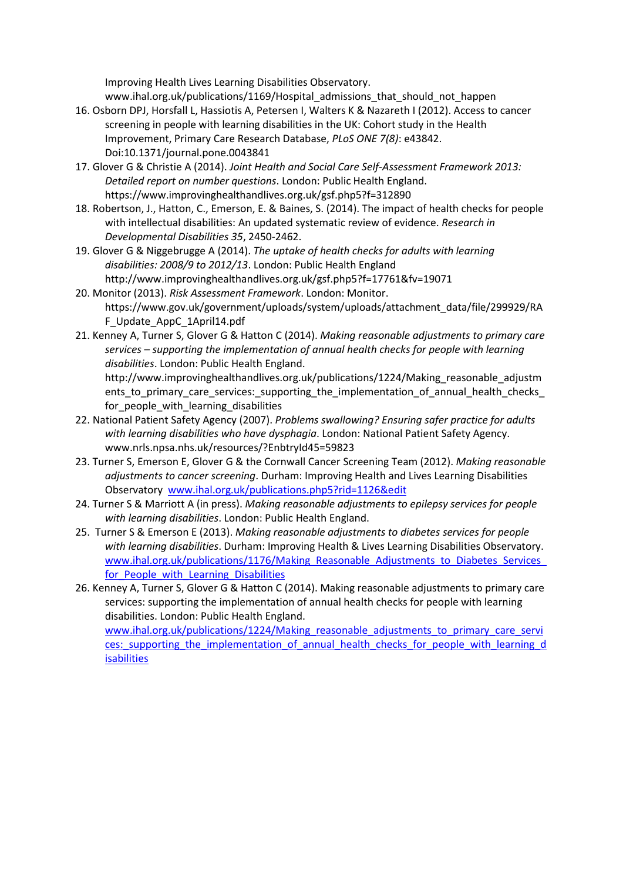Improving Health Lives Learning Disabilities Observatory. [www.ihal.org.uk/publications/1169/Hospital\\_admissions\\_that\\_should\\_not\\_happen](http://www.ihal.org.uk/publications/1169/Hospital_admissions_that_should_not_happen)

- 16. Osborn DPJ, Horsfall L, Hassiotis A, Petersen I, Walters K & Nazareth I (2012). Access to cancer screening in people with learning disabilities in the UK: Cohort study in the Health Improvement, Primary Care Research Database, *PLoS ONE 7(8)*: e43842. Doi:10.1371/journal.pone.0043841
- 17. Glover G & Christie A (2014). *Joint Health and Social Care Self-Assessment Framework 2013: Detailed report on number questions*. London: Public Health England. <https://www.improvinghealthandlives.org.uk/gsf.php5?f=312890>
- 18. Robertson, J., Hatton, C., Emerson, E. & Baines, S. (2014). The impact of health checks for people with intellectual disabilities: An updated systematic review of evidence. *Research in Developmental Disabilities 35*, 2450-2462.
- 19. Glover G & Niggebrugge A (2014). *The uptake of health checks for adults with learning disabilities: 2008/9 to 2012/13*. London: Public Health England <http://www.improvinghealthandlives.org.uk/gsf.php5?f=17761&fv=19071>
- 20. Monitor (2013). *Risk Assessment Framework*. London: Monitor. [https://www.gov.uk/government/uploads/system/uploads/attachment\\_data/file/299929/RA](https://www.gov.uk/government/uploads/system/uploads/attachment_data/file/299929/RAF_Update_AppC_1April14.pdf) [F\\_Update\\_AppC\\_1April14.pdf](https://www.gov.uk/government/uploads/system/uploads/attachment_data/file/299929/RAF_Update_AppC_1April14.pdf)
- 21. Kenney A, Turner S, Glover G & Hatton C (2014). *Making reasonable adjustments to primary care services – supporting the implementation of annual health checks for people with learning disabilities*. London: Public Health England. [http://www.improvinghealthandlives.org.uk/publications/1224/Making\\_reasonable\\_adjustm](http://www.improvinghealthandlives.org.uk/publications/1224/Making_reasonable_adjustments_to_primary_care_services:_supporting_the_implementation_of_annual_health_checks_for_people_with_learning_disabilities) ents to primary care services: supporting the implementation of annual health checks [for\\_people\\_with\\_learning\\_disabilities](http://www.improvinghealthandlives.org.uk/publications/1224/Making_reasonable_adjustments_to_primary_care_services:_supporting_the_implementation_of_annual_health_checks_for_people_with_learning_disabilities)
- 22. National Patient Safety Agency (2007). *Problems swallowing? Ensuring safer practice for adults with learning disabilities who have dysphagia*. London: National Patient Safety Agency. www.nrls.npsa.nhs.uk/resources/?EnbtryId45=59823
- 23. Turner S, Emerson E, Glover G & the Cornwall Cancer Screening Team (2012). *Making reasonable adjustments to cancer screening*. Durham: Improving Health and Lives Learning Disabilities Observatory [www.ihal.org.uk/publications.php5?rid=1126&edit](http://www.ihal.org.uk/publications.php5?rid=1126&edit)
- 24. Turner S & Marriott A (in press). *Making reasonable adjustments to epilepsy services for people with learning disabilities*. London: Public Health England.
- 25. Turner S & Emerson E (2013). *Making reasonable adjustments to diabetes services for people with learning disabilities*. Durham: Improving Health & Lives Learning Disabilities Observatory. www.ihal.org.uk/publications/1176/Making\_Reasonable\_Adjustments\_to\_Diabetes\_Services for People with Learning Disabilities
- 26. Kenney A, Turner S, Glover G & Hatton C (2014). Making reasonable adjustments to primary care services: supporting the implementation of annual health checks for people with learning disabilities. London: Public Health England. [www.ihal.org.uk/publications/1224/Making\\_reasonable\\_adjustments\\_to\\_primary\\_care\\_servi](http://www.ihal.org.uk/publications/1224/Making_reasonable_adjustments_to_primary_care_services:_supporting_the_implementation_of_annual_health_checks_for_people_with_learning_disabilities) ces: supporting the implementation of annual health checks for people with learning d [isabilities](http://www.ihal.org.uk/publications/1224/Making_reasonable_adjustments_to_primary_care_services:_supporting_the_implementation_of_annual_health_checks_for_people_with_learning_disabilities)